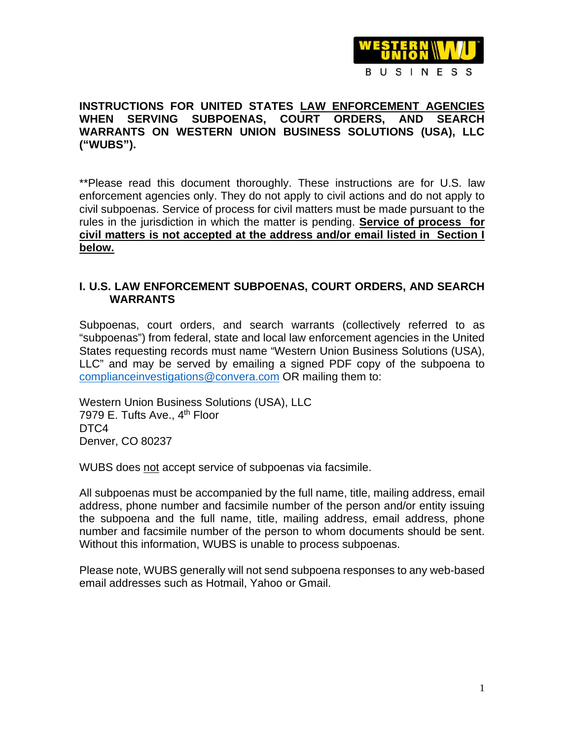

## **INSTRUCTIONS FOR UNITED STATES LAW ENFORCEMENT AGENCIES WHEN SERVING SUBPOENAS, COURT ORDERS, AND SEARCH WARRANTS ON WESTERN UNION BUSINESS SOLUTIONS (USA), LLC ("WUBS").**

\*\*Please read this document thoroughly. These instructions are for U.S. law enforcement agencies only. They do not apply to civil actions and do not apply to civil subpoenas. Service of process for civil matters must be made pursuant to the rules in the jurisdiction in which the matter is pending. **Service of process for civil matters is not accepted at the address and/or email listed in Section I below.** 

## **I. U.S. LAW ENFORCEMENT SUBPOENAS, COURT ORDERS, AND SEARCH WARRANTS**

Subpoenas, court orders, and search warrants (collectively referred to as "subpoenas") from federal, state and local law enforcement agencies in the United States requesting records must name "Western Union Business Solutions (USA), LLC" and may be served by emailing a signed PDF copy of the subpoena to [complianceinvestigations@convera.com](mailto:complianceinvestigations@convera.com) OR mailing them to:

Western Union Business Solutions (USA), LLC 7979 E. Tufts Ave., 4<sup>th</sup> Floor DTC<sub>4</sub> Denver, CO 80237

WUBS does not accept service of subpoenas via facsimile.

All subpoenas must be accompanied by the full name, title, mailing address, email address, phone number and facsimile number of the person and/or entity issuing the subpoena and the full name, title, mailing address, email address, phone number and facsimile number of the person to whom documents should be sent. Without this information, WUBS is unable to process subpoenas.

Please note, WUBS generally will not send subpoena responses to any web-based email addresses such as Hotmail, Yahoo or Gmail.